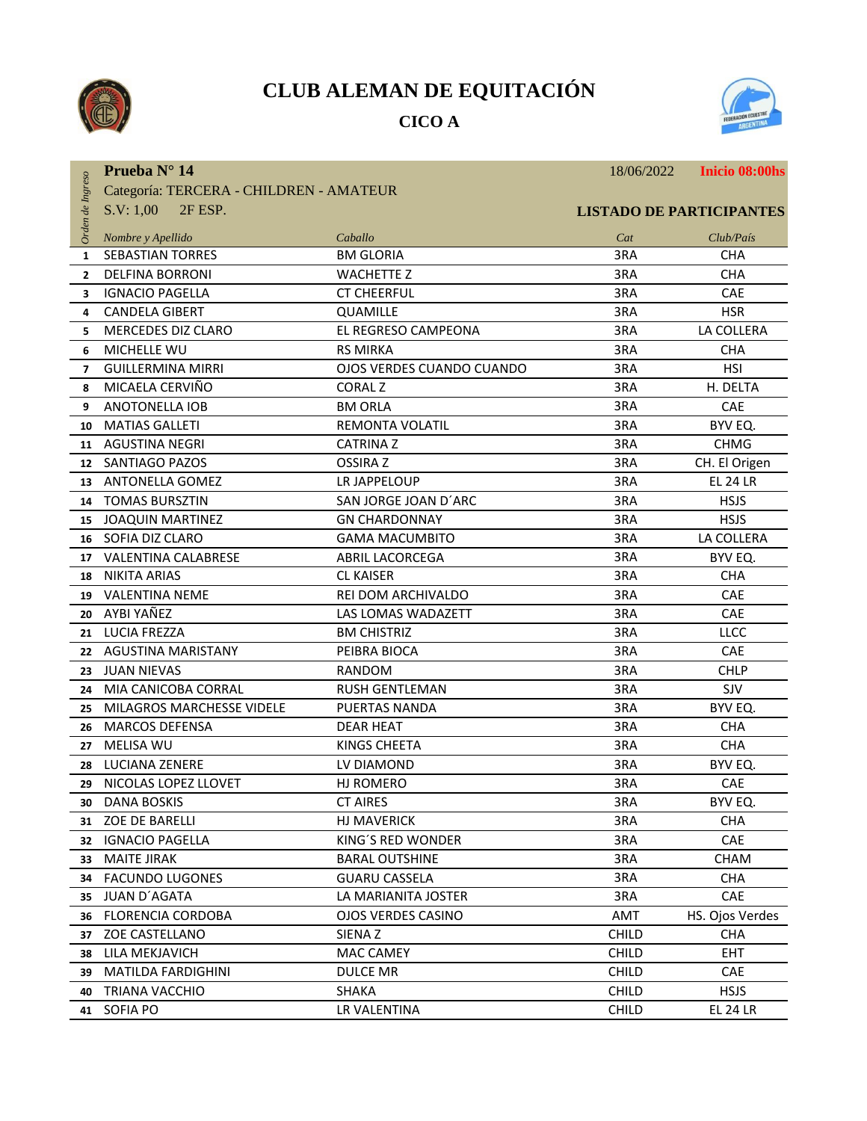



|                  | Prueba N° 14                            |                           | 18/06/2022                      | Inicio 08:00hs  |
|------------------|-----------------------------------------|---------------------------|---------------------------------|-----------------|
| Orden de Ingreso | Categoría: TERCERA - CHILDREN - AMATEUR |                           |                                 |                 |
|                  | 2F ESP.<br>S.V: 1,00                    |                           | <b>LISTADO DE PARTICIPANTES</b> |                 |
|                  | Nombre y Apellido                       | Caballo                   | Cat                             | Club/País       |
| $\mathbf{1}$     | <b>SEBASTIAN TORRES</b>                 | <b>BM GLORIA</b>          | 3RA                             | <b>CHA</b>      |
| $\mathbf{2}$     | <b>DELFINA BORRONI</b>                  | <b>WACHETTE Z</b>         | 3RA                             | <b>CHA</b>      |
| 3                | <b>IGNACIO PAGELLA</b>                  | <b>CT CHEERFUL</b>        | 3RA                             | CAE             |
| 4                | <b>CANDELA GIBERT</b>                   | QUAMILLE                  | 3RA                             | <b>HSR</b>      |
| 5.               | MERCEDES DIZ CLARO                      | EL REGRESO CAMPEONA       | 3RA                             | LA COLLERA      |
| 6                | MICHELLE WU                             | <b>RS MIRKA</b>           | 3RA                             | <b>CHA</b>      |
| $\overline{ }$   | <b>GUILLERMINA MIRRI</b>                | OJOS VERDES CUANDO CUANDO | 3RA                             | <b>HSI</b>      |
| 8                | MICAELA CERVIÑO                         | <b>CORAL Z</b>            | 3RA                             | H. DELTA        |
| 9                | <b>ANOTONELLA IOB</b>                   | <b>BM ORLA</b>            | 3RA                             | CAE             |
| 10               | <b>MATIAS GALLETI</b>                   | <b>REMONTA VOLATIL</b>    | 3RA                             | BYV EQ.         |
|                  | 11 AGUSTINA NEGRI                       | <b>CATRINAZ</b>           | 3RA                             | <b>CHMG</b>     |
| 12               | <b>SANTIAGO PAZOS</b>                   | <b>OSSIRA Z</b>           | 3RA                             | CH. El Origen   |
| 13               | ANTONELLA GOMEZ                         | LR JAPPELOUP              | 3RA                             | <b>EL 24 LR</b> |
| 14               | <b>TOMAS BURSZTIN</b>                   | SAN JORGE JOAN D'ARC      | 3RA                             | <b>HSJS</b>     |
|                  | 15 JOAQUIN MARTINEZ                     | <b>GN CHARDONNAY</b>      | 3RA                             | <b>HSJS</b>     |
| 16               | SOFIA DIZ CLARO                         | <b>GAMA MACUMBITO</b>     | 3RA                             | LA COLLERA      |
| 17               | <b>VALENTINA CALABRESE</b>              | <b>ABRIL LACORCEGA</b>    | 3RA                             | BYV EQ.         |
| 18               | <b>NIKITA ARIAS</b>                     | <b>CL KAISER</b>          | 3RA                             | CHA             |
| 19               | <b>VALENTINA NEME</b>                   | REI DOM ARCHIVALDO        | 3RA                             | CAE             |
|                  | 20 AYBI YAÑEZ                           | LAS LOMAS WADAZETT        | 3RA                             | CAE             |
|                  | 21 LUCIA FREZZA                         | <b>BM CHISTRIZ</b>        | 3RA                             | <b>LLCC</b>     |
|                  | 22 AGUSTINA MARISTANY                   | PEIBRA BIOCA              | 3RA                             | CAE             |
|                  | 23 JUAN NIEVAS                          | RANDOM                    | 3RA                             | <b>CHLP</b>     |
| 24               | MIA CANICOBA CORRAL                     | <b>RUSH GENTLEMAN</b>     | 3RA                             | <b>SJV</b>      |
| 25               | MILAGROS MARCHESSE VIDELE               | PUERTAS NANDA             | 3RA                             | BYV EQ.         |
| 26               | <b>MARCOS DEFENSA</b>                   | <b>DEAR HEAT</b>          | 3RA                             | <b>CHA</b>      |
| 27               | MELISA WU                               | <b>KINGS CHEETA</b>       | 3RA                             | <b>CHA</b>      |
| 28               | LUCIANA ZENERE                          | LV DIAMOND                | 3RA                             | BYV EQ.         |
| 29               | NICOLAS LOPEZ LLOVET                    | HJ ROMERO                 | 3RA                             | CAE             |
| 30               | DANA BOSKIS                             | <b>CT AIRES</b>           | 3RA                             | BYV EQ.         |
| 31               | ZOE DE BARELLI                          | <b>HJ MAVERICK</b>        | 3RA                             | <b>CHA</b>      |
| 32               | <b>IGNACIO PAGELLA</b>                  | KING'S RED WONDER         | 3RA                             | CAE             |
| 33               | <b>MAITE JIRAK</b>                      | <b>BARAL OUTSHINE</b>     | 3RA                             | <b>CHAM</b>     |
| 34               | <b>FACUNDO LUGONES</b>                  | <b>GUARU CASSELA</b>      | 3RA                             | <b>CHA</b>      |
| 35               | JUAN D'AGATA                            | LA MARIANITA JOSTER       | 3RA                             | CAE             |
| 36               | <b>FLORENCIA CORDOBA</b>                | <b>OJOS VERDES CASINO</b> | AMT                             | HS. Ojos Verdes |
| 37               | <b>ZOE CASTELLANO</b>                   | SIENA <sub>Z</sub>        | CHILD                           | <b>CHA</b>      |
|                  | 38 LILA MEKJAVICH                       | MAC CAMEY                 | <b>CHILD</b>                    | <b>EHT</b>      |
| 39               | <b>MATILDA FARDIGHINI</b>               | DULCE MR                  | <b>CHILD</b>                    | CAE             |
| 40               | TRIANA VACCHIO                          | SHAKA                     | <b>CHILD</b>                    | <b>HSJS</b>     |
| 41               | SOFIA PO                                | LR VALENTINA              | CHILD                           | <b>EL 24 LR</b> |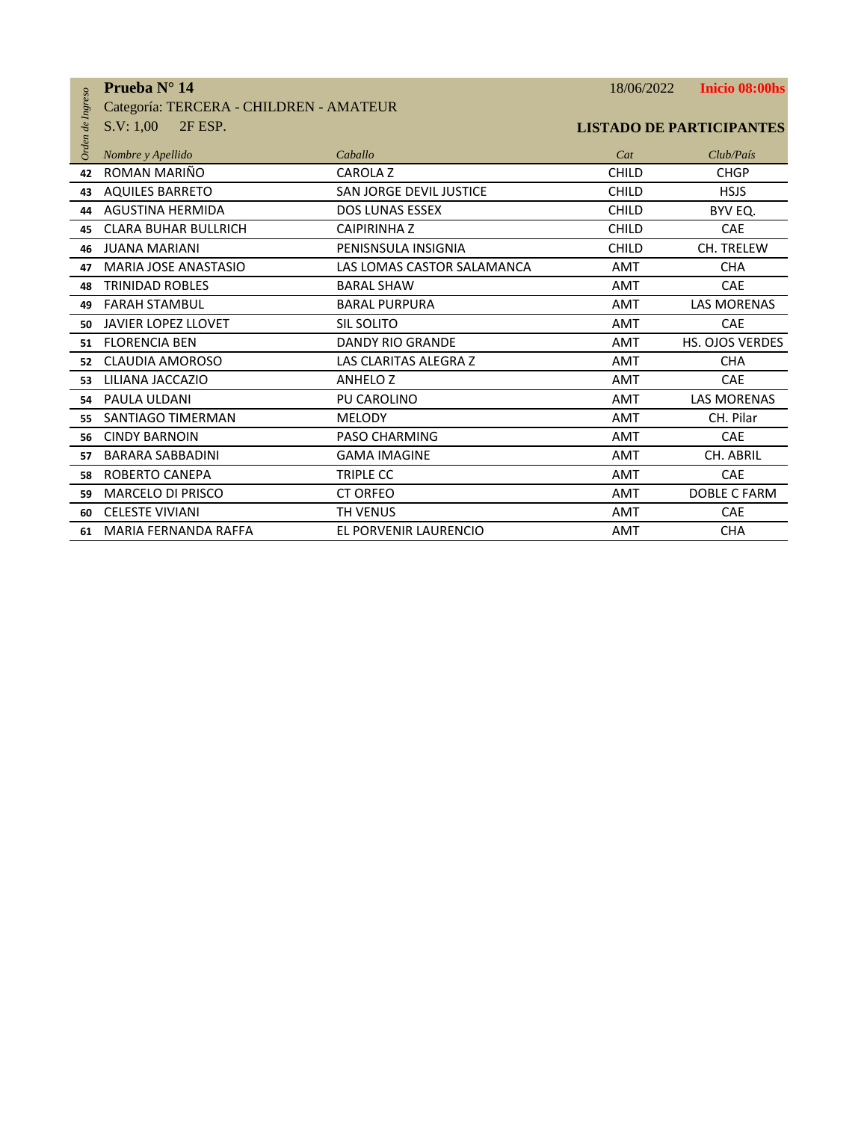|          | Prueba N° 14                            |                                | 18/06/2022   | Inicio 08:00hs                  |
|----------|-----------------------------------------|--------------------------------|--------------|---------------------------------|
| Ingreso  | Categoría: TERCERA - CHILDREN - AMATEUR |                                |              |                                 |
|          | 2F ESP.<br>S.V: 1,00                    |                                |              | <b>LISTADO DE PARTICIPANTES</b> |
| Orden de | Nombre y Apellido                       | Caballo                        | Cat          | Club/País                       |
| 42       | ROMAN MARIÑO                            | CAROLA Z                       | CHILD        | <b>CHGP</b>                     |
| 43       | <b>AQUILES BARRETO</b>                  | <b>SAN JORGE DEVIL JUSTICE</b> | CHILD        | <b>HSJS</b>                     |
| 44       | <b>AGUSTINA HERMIDA</b>                 | <b>DOS LUNAS ESSEX</b>         | <b>CHILD</b> | BYV EQ.                         |
| 45       | <b>CLARA BUHAR BULLRICH</b>             | <b>CAIPIRINHAZ</b>             | <b>CHILD</b> | CAE                             |
| 46       | <b>JUANA MARIANI</b>                    | PENISNSULA INSIGNIA            | <b>CHILD</b> | CH. TRELEW                      |
| 47       | <b>MARIA JOSE ANASTASIO</b>             | LAS LOMAS CASTOR SALAMANCA     | AMT          | <b>CHA</b>                      |
| 48       | <b>TRINIDAD ROBLES</b>                  | <b>BARAL SHAW</b>              | AMT          | CAE                             |
| 49       | <b>FARAH STAMBUL</b>                    | <b>BARAL PURPURA</b>           | AMT          | <b>LAS MORENAS</b>              |
| 50       | JAVIER LOPEZ LLOVET                     | <b>SIL SOLITO</b>              | AMT          | CAE                             |
| 51       | <b>FLORENCIA BEN</b>                    | <b>DANDY RIO GRANDE</b>        | AMT          | HS. OJOS VERDES                 |
| 52       | CLAUDIA AMOROSO                         | LAS CLARITAS ALEGRA Z          | AMT          | <b>CHA</b>                      |
| 53       | LILIANA JACCAZIO                        | <b>ANHELOZ</b>                 | AMT          | CAE                             |
| 54       | PAULA ULDANI                            | PU CAROLINO                    | AMT          | <b>LAS MORENAS</b>              |
| 55       | SANTIAGO TIMERMAN                       | <b>MELODY</b>                  | AMT          | CH. Pilar                       |
| 56       | <b>CINDY BARNOIN</b>                    | <b>PASO CHARMING</b>           | AMT          | CAE                             |
| 57       | <b>BARARA SABBADINI</b>                 | <b>GAMA IMAGINE</b>            | AMT          | CH. ABRIL                       |
| 58       | <b>ROBERTO CANEPA</b>                   | <b>TRIPLE CC</b>               | AMT          | CAE                             |
| 59       | MARCELO DI PRISCO                       | <b>CT ORFEO</b>                | AMT          | <b>DOBLE C FARM</b>             |
| 60       | <b>CELESTE VIVIANI</b>                  | TH VENUS                       | AMT          | CAE                             |
| 61       | MARIA FERNANDA RAFFA                    | EL PORVENIR LAURENCIO          | AMT          | <b>CHA</b>                      |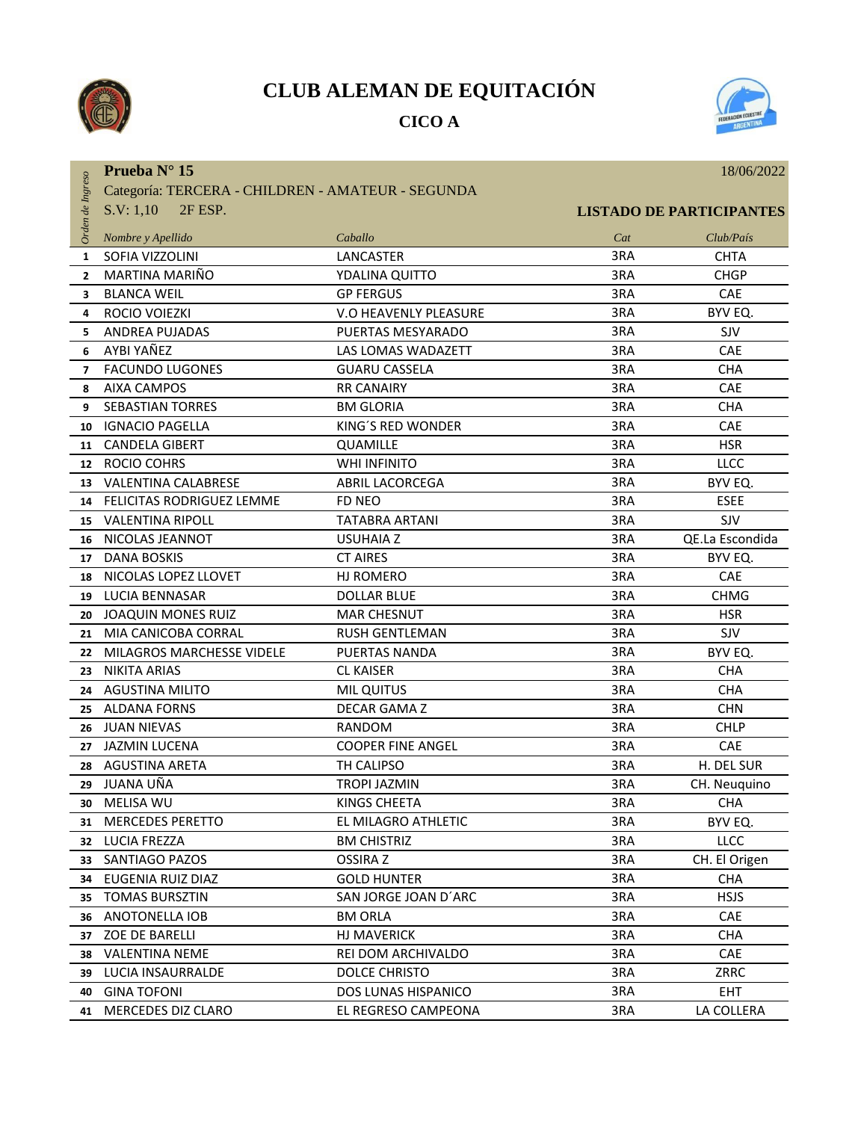



|                  | Prueba N° 15                                                              |                              |     | 18/06/2022                      |
|------------------|---------------------------------------------------------------------------|------------------------------|-----|---------------------------------|
| Orden de Ingreso | Categoría: TERCERA - CHILDREN - AMATEUR - SEGUNDA<br>2F ESP.<br>S.V: 1,10 |                              |     | <b>LISTADO DE PARTICIPANTES</b> |
|                  |                                                                           | Caballo                      | Cat | Club/País                       |
| $\mathbf{1}$     | Nombre y Apellido<br>SOFIA VIZZOLINI                                      | LANCASTER                    | 3RA | CHTA                            |
| $\mathbf{2}$     | MARTINA MARIÑO                                                            | YDALINA QUITTO               | 3RA | <b>CHGP</b>                     |
| 3                | <b>BLANCA WEIL</b>                                                        | <b>GP FERGUS</b>             | 3RA | <b>CAE</b>                      |
| 4                | ROCIO VOIEZKI                                                             | <b>V.O HEAVENLY PLEASURE</b> | 3RA | BYV EQ.                         |
| 5.               | ANDREA PUJADAS                                                            | PUERTAS MESYARADO            | 3RA | <b>SJV</b>                      |
| 6                | AYBI YAÑEZ                                                                | LAS LOMAS WADAZETT           | 3RA | <b>CAE</b>                      |
| $\overline{7}$   | <b>FACUNDO LUGONES</b>                                                    | <b>GUARU CASSELA</b>         | 3RA | <b>CHA</b>                      |
| 8                | <b>AIXA CAMPOS</b>                                                        | <b>RR CANAIRY</b>            | 3RA | CAE                             |
| 9                | <b>SEBASTIAN TORRES</b>                                                   | <b>BM GLORIA</b>             | 3RA | <b>CHA</b>                      |
| 10               | <b>IGNACIO PAGELLA</b>                                                    | KING'S RED WONDER            | 3RA | <b>CAE</b>                      |
| 11               | <b>CANDELA GIBERT</b>                                                     | QUAMILLE                     | 3RA | <b>HSR</b>                      |
| 12               | <b>ROCIO COHRS</b>                                                        | <b>WHI INFINITO</b>          | 3RA | <b>LLCC</b>                     |
|                  | 13 VALENTINA CALABRESE                                                    | <b>ABRIL LACORCEGA</b>       | 3RA | BYV EQ.                         |
| 14               | FELICITAS RODRIGUEZ LEMME                                                 | <b>FD NEO</b>                | 3RA | <b>ESEE</b>                     |
| 15               | <b>VALENTINA RIPOLL</b>                                                   | <b>TATABRA ARTANI</b>        | 3RA | <b>SJV</b>                      |
| 16               | NICOLAS JEANNOT                                                           | <b>USUHAIA Z</b>             | 3RA | QE.La Escondida                 |
| 17               | DANA BOSKIS                                                               | <b>CT AIRES</b>              | 3RA | BYV EQ.                         |
| 18               | NICOLAS LOPEZ LLOVET                                                      | HJ ROMERO                    | 3RA | CAE                             |
| 19               | LUCIA BENNASAR                                                            | <b>DOLLAR BLUE</b>           | 3RA | <b>CHMG</b>                     |
| 20               | JOAQUIN MONES RUIZ                                                        | <b>MAR CHESNUT</b>           | 3RA | <b>HSR</b>                      |
| 21               | MIA CANICOBA CORRAL                                                       | <b>RUSH GENTLEMAN</b>        | 3RA | <b>SJV</b>                      |
| 22               | MILAGROS MARCHESSE VIDELE                                                 | PUERTAS NANDA                | 3RA | BYV EQ.                         |
| 23               | <b>NIKITA ARIAS</b>                                                       | <b>CL KAISER</b>             | 3RA | <b>CHA</b>                      |
|                  | 24 AGUSTINA MILITO                                                        | <b>MIL QUITUS</b>            | 3RA | <b>CHA</b>                      |
|                  | 25 ALDANA FORNS                                                           | DECAR GAMA Z                 | 3RA | <b>CHN</b>                      |
|                  | 26 JUAN NIEVAS                                                            | RANDOM                       | 3RA | CHLP                            |
| 27               | <b>JAZMIN LUCENA</b>                                                      | <b>COOPER FINE ANGEL</b>     | 3RA | CAE                             |
| 28               | AGUSTINA ARETA                                                            | TH CALIPSO                   | 3RA | H. DEL SUR                      |
| 29               | JUANA UÑA                                                                 | <b>TROPI JAZMIN</b>          | 3RA | CH. Neuguino                    |
| 30               | MELISA WU                                                                 | KINGS CHEETA                 | 3RA | <b>CHA</b>                      |
| 31               | <b>MERCEDES PERETTO</b>                                                   | EL MILAGRO ATHLETIC          | 3RA | BYV EQ.                         |
| 32               | LUCIA FREZZA                                                              | <b>BM CHISTRIZ</b>           | 3RA | <b>LLCC</b>                     |
| 33               | SANTIAGO PAZOS                                                            | <b>OSSIRA Z</b>              | 3RA | CH. El Origen                   |
| 34               | EUGENIA RUIZ DIAZ                                                         | <b>GOLD HUNTER</b>           | 3RA | <b>CHA</b>                      |
| 35               | <b>TOMAS BURSZTIN</b>                                                     | SAN JORGE JOAN D'ARC         | 3RA | <b>HSJS</b>                     |
| 36               | ANOTONELLA IOB                                                            | <b>BM ORLA</b>               | 3RA | CAE                             |
| 37               | ZOE DE BARELLI                                                            | HJ MAVERICK                  | 3RA | <b>CHA</b>                      |
| 38               | <b>VALENTINA NEME</b>                                                     | REI DOM ARCHIVALDO           | 3RA | CAE                             |
| 39               | LUCIA INSAURRALDE                                                         | <b>DOLCE CHRISTO</b>         | 3RA | ZRRC                            |
| 40               | <b>GINA TOFONI</b>                                                        | <b>DOS LUNAS HISPANICO</b>   | 3RA | EHT                             |
| 41               | MERCEDES DIZ CLARO                                                        | EL REGRESO CAMPEONA          | 3RA | LA COLLERA                      |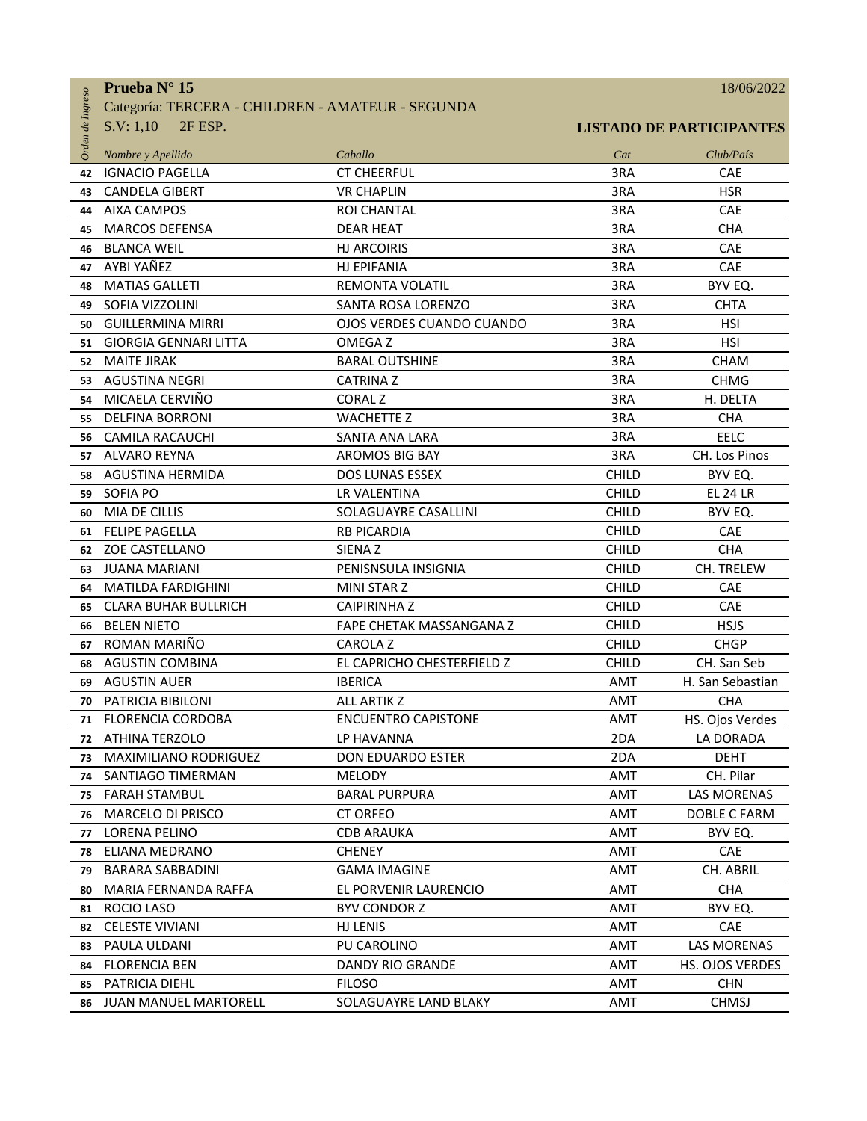|                  | Prueba N° 15                                      |                                 |              | 18/06/2022                      |
|------------------|---------------------------------------------------|---------------------------------|--------------|---------------------------------|
| Orden de Ingreso | Categoría: TERCERA - CHILDREN - AMATEUR - SEGUNDA |                                 |              |                                 |
|                  | 2F ESP.<br>S.V: 1,10                              |                                 |              | <b>LISTADO DE PARTICIPANTES</b> |
|                  | Nombre y Apellido                                 | Caballo                         | Cat          | Club/País                       |
| 42               | <b>IGNACIO PAGELLA</b>                            | <b>CT CHEERFUL</b>              | 3RA          | CAE                             |
| 43               | <b>CANDELA GIBERT</b>                             | <b>VR CHAPLIN</b>               | 3RA          | <b>HSR</b>                      |
| 44               | <b>AIXA CAMPOS</b>                                | <b>ROI CHANTAL</b>              | 3RA          | <b>CAE</b>                      |
| 45               | <b>MARCOS DEFENSA</b>                             | <b>DEAR HEAT</b>                | 3RA          | <b>CHA</b>                      |
| 46               | <b>BLANCA WEIL</b>                                | <b>HJ ARCOIRIS</b>              | 3RA          | CAE                             |
| 47               | AYBI YAÑEZ                                        | HJ EPIFANIA                     | 3RA          | CAE                             |
| 48               | <b>MATIAS GALLETI</b>                             | REMONTA VOLATIL                 | 3RA          | BYV EQ.                         |
| 49               | SOFIA VIZZOLINI                                   | SANTA ROSA LORENZO              | 3RA          | <b>CHTA</b>                     |
| 50               | <b>GUILLERMINA MIRRI</b>                          | OJOS VERDES CUANDO CUANDO       | 3RA          | <b>HSI</b>                      |
| 51               | <b>GIORGIA GENNARI LITTA</b>                      | OMEGA Z                         | 3RA          | <b>HSI</b>                      |
| 52               | <b>MAITE JIRAK</b>                                | <b>BARAL OUTSHINE</b>           | 3RA          | CHAM                            |
|                  | 53 AGUSTINA NEGRI                                 | <b>CATRINAZ</b>                 | 3RA          | <b>CHMG</b>                     |
| 54               | MICAELA CERVIÑO                                   | <b>CORAL Z</b>                  | 3RA          | H. DELTA                        |
| 55               | <b>DELFINA BORRONI</b>                            | <b>WACHETTE Z</b>               | 3RA          | <b>CHA</b>                      |
| 56               | <b>CAMILA RACAUCHI</b>                            | SANTA ANA LARA                  | 3RA          | <b>EELC</b>                     |
|                  | 57 ALVARO REYNA                                   | <b>AROMOS BIG BAY</b>           | 3RA          | CH. Los Pinos                   |
|                  | 58 AGUSTINA HERMIDA                               | <b>DOS LUNAS ESSEX</b>          | <b>CHILD</b> | BYV EQ.                         |
| 59               | <b>SOFIA PO</b>                                   | LR VALENTINA                    | <b>CHILD</b> | <b>EL 24 LR</b>                 |
| 60               | MIA DE CILLIS                                     | SOLAGUAYRE CASALLINI            | <b>CHILD</b> | BYV EQ.                         |
| 61               | <b>FELIPE PAGELLA</b>                             | <b>RB PICARDIA</b>              | CHILD        | CAE                             |
|                  | 62 ZOE CASTELLANO                                 | SIENA Z                         | <b>CHILD</b> | <b>CHA</b>                      |
| 63               | <b>JUANA MARIANI</b>                              | PENISNSULA INSIGNIA             | <b>CHILD</b> | CH. TRELEW                      |
| 64               | <b>MATILDA FARDIGHINI</b>                         | MINI STAR Z                     | <b>CHILD</b> | CAE                             |
| 65               | <b>CLARA BUHAR BULLRICH</b>                       | <b>CAIPIRINHAZ</b>              | <b>CHILD</b> | CAE                             |
| 66               | <b>BELEN NIETO</b>                                | <b>FAPE CHETAK MASSANGANA Z</b> | <b>CHILD</b> | <b>HSJS</b>                     |
| 67               | ROMAN MARIÑO                                      | <b>CAROLA Z</b>                 | <b>CHILD</b> | <b>CHGP</b>                     |
| 68               | <b>AGUSTIN COMBINA</b>                            | EL CAPRICHO CHESTERFIELD Z      | <b>CHILD</b> | CH. San Seb                     |
| 69               | <b>AGUSTIN AUER</b>                               | <b>IBERICA</b>                  | AMT          | H. San Sebastian                |
| 70               | PATRICIA BIBILONI                                 | <b>ALL ARTIK Z</b>              | AMT          | <b>CHA</b>                      |
|                  | 71 FLORENCIA CORDOBA                              | <b>ENCUENTRO CAPISTONE</b>      | AMT          | HS. Ojos Verdes                 |
| 72               | ATHINA TERZOLO                                    | LP HAVANNA                      | 2DA          | LA DORADA                       |
| 73               | MAXIMILIANO RODRIGUEZ                             | <b>DON EDUARDO ESTER</b>        | 2DA          | <b>DEHT</b>                     |
| 74               | SANTIAGO TIMERMAN                                 | <b>MELODY</b>                   | AMT          | CH. Pilar                       |
|                  | 75 FARAH STAMBUL                                  | <b>BARAL PURPURA</b>            | AMT          | LAS MORENAS                     |
| 76               | MARCELO DI PRISCO                                 | <b>CT ORFEO</b>                 | AMT          | DOBLE C FARM                    |
| 77               | LORENA PELINO                                     | <b>CDB ARAUKA</b>               | AMT          | BYV EQ.                         |
| 78               | ELIANA MEDRANO                                    | <b>CHENEY</b>                   | AMT          | CAE                             |
| 79               | <b>BARARA SABBADINI</b>                           | <b>GAMA IMAGINE</b>             | AMT          | CH. ABRIL                       |
| 80               | MARIA FERNANDA RAFFA                              | EL PORVENIR LAURENCIO           | AMT          | <b>CHA</b>                      |
| 81               | ROCIO LASO                                        | BYV CONDOR Z                    | AMT          | BYV EQ.                         |
| 82               | <b>CELESTE VIVIANI</b>                            | HJ LENIS                        | AMT          | CAE                             |
| 83               | PAULA ULDANI                                      | PU CAROLINO                     | AMT          | <b>LAS MORENAS</b>              |
| 84               | <b>FLORENCIA BEN</b>                              | DANDY RIO GRANDE                | AMT          | HS. OJOS VERDES                 |
| 85               | PATRICIA DIEHL                                    | <b>FILOSO</b>                   | AMT          | <b>CHN</b>                      |
| 86               | JUAN MANUEL MARTORELL                             | SOLAGUAYRE LAND BLAKY           | AMT          | <b>CHMSJ</b>                    |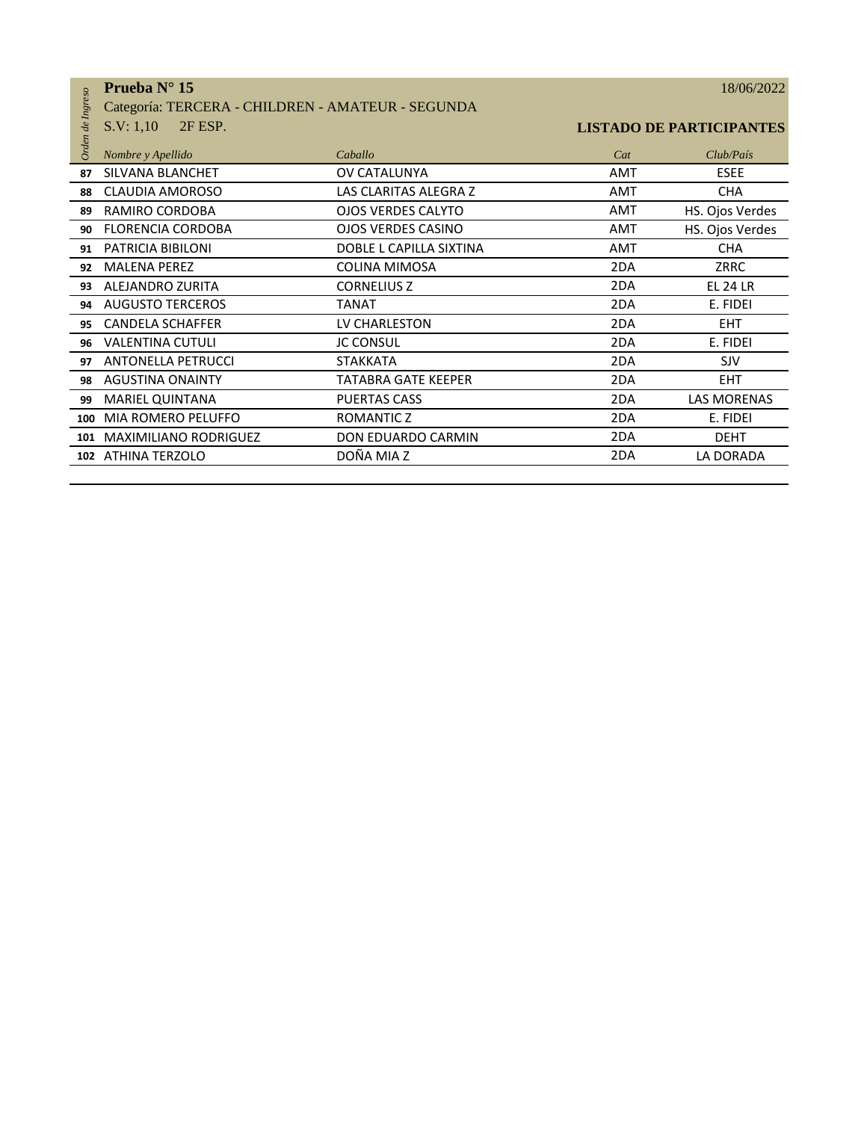| Ingreso  | Prueba Nº 15<br>Categoría: TERCERA - CHILDREN - AMATEUR - SEGUNDA |                            |     | 18/06/2022                      |
|----------|-------------------------------------------------------------------|----------------------------|-----|---------------------------------|
| Orden de | 2F ESP.<br>S.V: 1,10                                              |                            |     | <b>LISTADO DE PARTICIPANTES</b> |
|          | Nombre y Apellido                                                 | Caballo                    | Cat | Club/País                       |
| 87       | SILVANA BLANCHET                                                  | OV CATALUNYA               | AMT | <b>ESEE</b>                     |
| 88       | CLAUDIA AMOROSO                                                   | LAS CLARITAS ALEGRA Z      | AMT | <b>CHA</b>                      |
| 89       | RAMIRO CORDOBA                                                    | <b>OJOS VERDES CALYTO</b>  | AMT | HS. Ojos Verdes                 |
| 90       | <b>FLORENCIA CORDOBA</b>                                          | <b>OJOS VERDES CASINO</b>  | AMT | HS. Ojos Verdes                 |
| 91       | PATRICIA BIBILONI                                                 | DOBLE L CAPILLA SIXTINA    | AMT | <b>CHA</b>                      |
| 92       | <b>MALENA PEREZ</b>                                               | <b>COLINA MIMOSA</b>       | 2DA | <b>ZRRC</b>                     |
| 93       | ALEJANDRO ZURITA                                                  | <b>CORNELIUS Z</b>         | 2DA | <b>EL 24 LR</b>                 |
| 94       | <b>AUGUSTO TERCEROS</b>                                           | <b>TANAT</b>               | 2DA | E. FIDEI                        |
| 95       | <b>CANDELA SCHAFFER</b>                                           | LV CHARLESTON              | 2DA | <b>EHT</b>                      |
| 96       | <b>VALENTINA CUTULI</b>                                           | <b>JC CONSUL</b>           | 2DA | E. FIDEI                        |
| 97       | <b>ANTONELLA PETRUCCI</b>                                         | <b>STAKKATA</b>            | 2DA | <b>SJV</b>                      |
| 98       | <b>AGUSTINA ONAINTY</b>                                           | <b>TATABRA GATE KEEPER</b> | 2DA | <b>EHT</b>                      |
| 99       | <b>MARIEL QUINTANA</b>                                            | <b>PUERTAS CASS</b>        | 2DA | <b>LAS MORENAS</b>              |
| 100      | MIA ROMERO PELUFFO                                                | ROMANTIC Z                 | 2DA | E. FIDEI                        |
| 101      | <b>MAXIMILIANO RODRIGUEZ</b>                                      | DON EDUARDO CARMIN         | 2DA | <b>DEHT</b>                     |
|          | 102 ATHINA TERZOLO                                                | DOÑA MIA Z                 | 2DA | LA DORADA                       |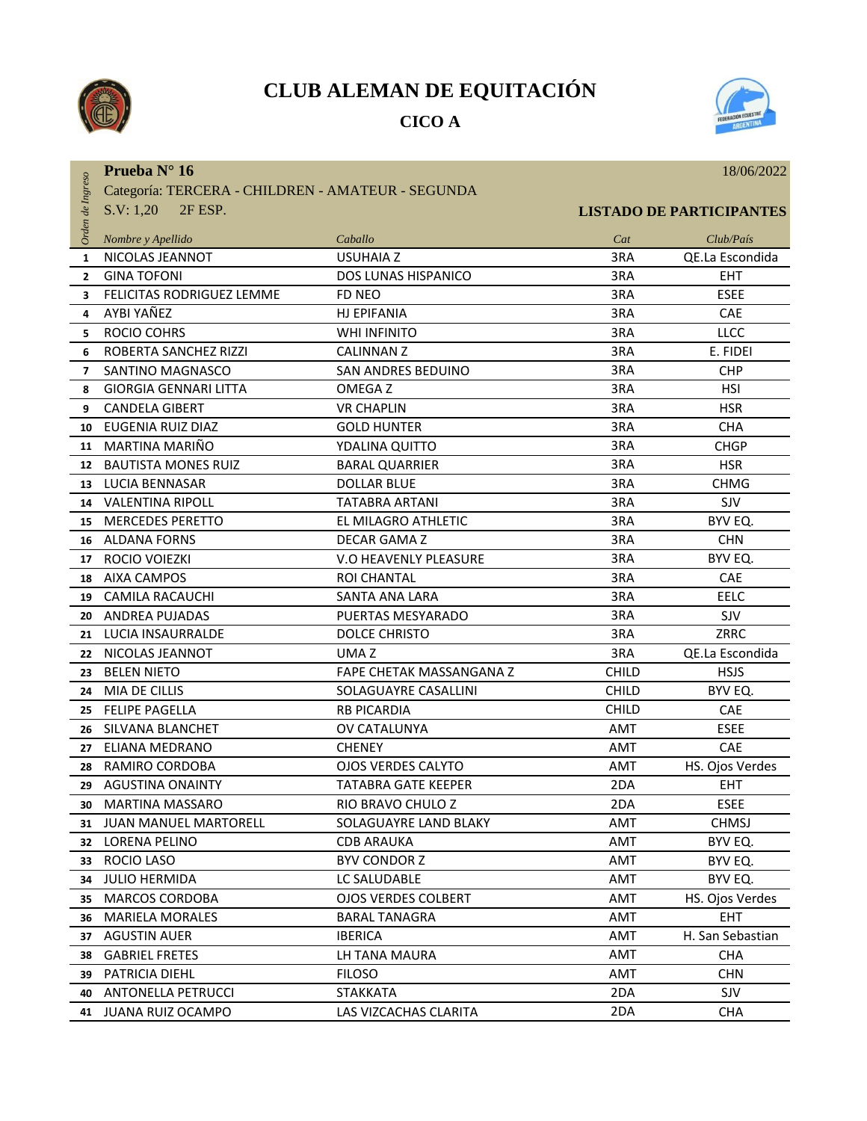



|                  | Prueba Nº 16                                      |                                 |              | 18/06/2022                      |
|------------------|---------------------------------------------------|---------------------------------|--------------|---------------------------------|
|                  | Categoría: TERCERA - CHILDREN - AMATEUR - SEGUNDA |                                 |              |                                 |
| Orden de Ingreso | 2F ESP.<br>S.V: 1,20                              |                                 |              | <b>LISTADO DE PARTICIPANTES</b> |
|                  |                                                   | Caballo                         | Cat          | Club/País                       |
| $\mathbf{1}$     | Nombre y Apellido<br>NICOLAS JEANNOT              | <b>USUHAIA Z</b>                | 3RA          | QE.La Escondida                 |
| $\mathbf{2}$     | <b>GINA TOFONI</b>                                | <b>DOS LUNAS HISPANICO</b>      | 3RA          | <b>EHT</b>                      |
| 3                | FELICITAS RODRIGUEZ LEMME                         | FD NEO                          | 3RA          | <b>ESEE</b>                     |
| 4                | AYBI YAÑEZ                                        | <b>HJ EPIFANIA</b>              | 3RA          | <b>CAE</b>                      |
| 5                | <b>ROCIO COHRS</b>                                | <b>WHI INFINITO</b>             | 3RA          | <b>LLCC</b>                     |
| 6                | ROBERTA SANCHEZ RIZZI                             | CALINNAN Z                      | 3RA          | E. FIDEI                        |
| $\overline{7}$   | SANTINO MAGNASCO                                  | SAN ANDRES BEDUINO              | 3RA          | <b>CHP</b>                      |
| 8                | <b>GIORGIA GENNARI LITTA</b>                      | OMEGA Z                         | 3RA          | HSI                             |
| 9                | <b>CANDELA GIBERT</b>                             | <b>VR CHAPLIN</b>               | 3RA          | <b>HSR</b>                      |
|                  | 10 EUGENIA RUIZ DIAZ                              | <b>GOLD HUNTER</b>              | 3RA          | <b>CHA</b>                      |
| 11               | MARTINA MARIÑO                                    | YDALINA QUITTO                  | 3RA          | <b>CHGP</b>                     |
|                  | 12 BAUTISTA MONES RUIZ                            | <b>BARAL QUARRIER</b>           | 3RA          | <b>HSR</b>                      |
| 13               | LUCIA BENNASAR                                    | <b>DOLLAR BLUE</b>              | 3RA          | <b>CHMG</b>                     |
| 14               | <b>VALENTINA RIPOLL</b>                           | <b>TATABRA ARTANI</b>           | 3RA          | SJV                             |
| 15               | <b>MERCEDES PERETTO</b>                           | EL MILAGRO ATHLETIC             | 3RA          | BYV EQ.                         |
|                  | 16 ALDANA FORNS                                   | DECAR GAMA Z                    | 3RA          | <b>CHN</b>                      |
| 17               | ROCIO VOIEZKI                                     | V.O HEAVENLY PLEASURE           | 3RA          | BYV EQ.                         |
| 18               | <b>AIXA CAMPOS</b>                                | <b>ROI CHANTAL</b>              | 3RA          | <b>CAE</b>                      |
| 19               | <b>CAMILA RACAUCHI</b>                            | SANTA ANA LARA                  | 3RA          | EELC                            |
| 20               | ANDREA PUJADAS                                    | PUERTAS MESYARADO               | 3RA          | <b>SJV</b>                      |
|                  | 21 LUCIA INSAURRALDE                              | <b>DOLCE CHRISTO</b>            | 3RA          | ZRRC                            |
| 22               | NICOLAS JEANNOT                                   | UMA Z                           | 3RA          | QE.La Escondida                 |
| 23               | <b>BELEN NIETO</b>                                | <b>FAPE CHETAK MASSANGANA Z</b> | CHILD        | <b>HSJS</b>                     |
| 24               | MIA DE CILLIS                                     | SOLAGUAYRE CASALLINI            | <b>CHILD</b> | BYV EQ.                         |
|                  | 25 FELIPE PAGELLA                                 | <b>RB PICARDIA</b>              | <b>CHILD</b> | CAE                             |
| 26               | SILVANA BLANCHET                                  | OV CATALUNYA                    | AMT          | <b>ESEE</b>                     |
| 27               | ELIANA MEDRANO                                    | <b>CHENEY</b>                   | AMT          | CAE                             |
| 28               | RAMIRO CORDOBA                                    | <b>OJOS VERDES CALYTO</b>       | AMT          | HS. Ojos Verdes                 |
|                  | 29 AGUSTINA ONAINTY                               | <b>TATABRA GATE KEEPER</b>      | 2DA          | <b>EHT</b>                      |
| 30               | MARTINA MASSARO                                   | RIO BRAVO CHULO Z               | 2DA          | ESEE                            |
| 31               | <b>JUAN MANUEL MARTORELL</b>                      | SOLAGUAYRE LAND BLAKY           | AMT          | <b>CHMSJ</b>                    |
| 32               | LORENA PELINO                                     | <b>CDB ARAUKA</b>               | AMT          | BYV EQ.                         |
| 33               | ROCIO LASO                                        | BYV CONDOR Z                    | AMT          | BYV EQ.                         |
| 34               | <b>JULIO HERMIDA</b>                              | LC SALUDABLE                    | AMT          | BYV EQ.                         |
| 35               | <b>MARCOS CORDOBA</b>                             | <b>OJOS VERDES COLBERT</b>      | AMT          | HS. Ojos Verdes                 |
| 36               | MARIELA MORALES                                   | <b>BARAL TANAGRA</b>            | AMT          | <b>EHT</b>                      |
| 37               | <b>AGUSTIN AUER</b>                               | <b>IBERICA</b>                  | AMT          | H. San Sebastian                |
| 38               | <b>GABRIEL FRETES</b>                             | LH TANA MAURA                   | AMT          | <b>CHA</b>                      |
| 39               | PATRICIA DIEHL                                    | <b>FILOSO</b>                   | AMT          | <b>CHN</b>                      |
| 40               | <b>ANTONELLA PETRUCCI</b>                         | <b>STAKKATA</b>                 | 2DA          | <b>SJV</b>                      |
| 41               | JUANA RUIZ OCAMPO                                 | LAS VIZCACHAS CLARITA           | 2DA          | <b>CHA</b>                      |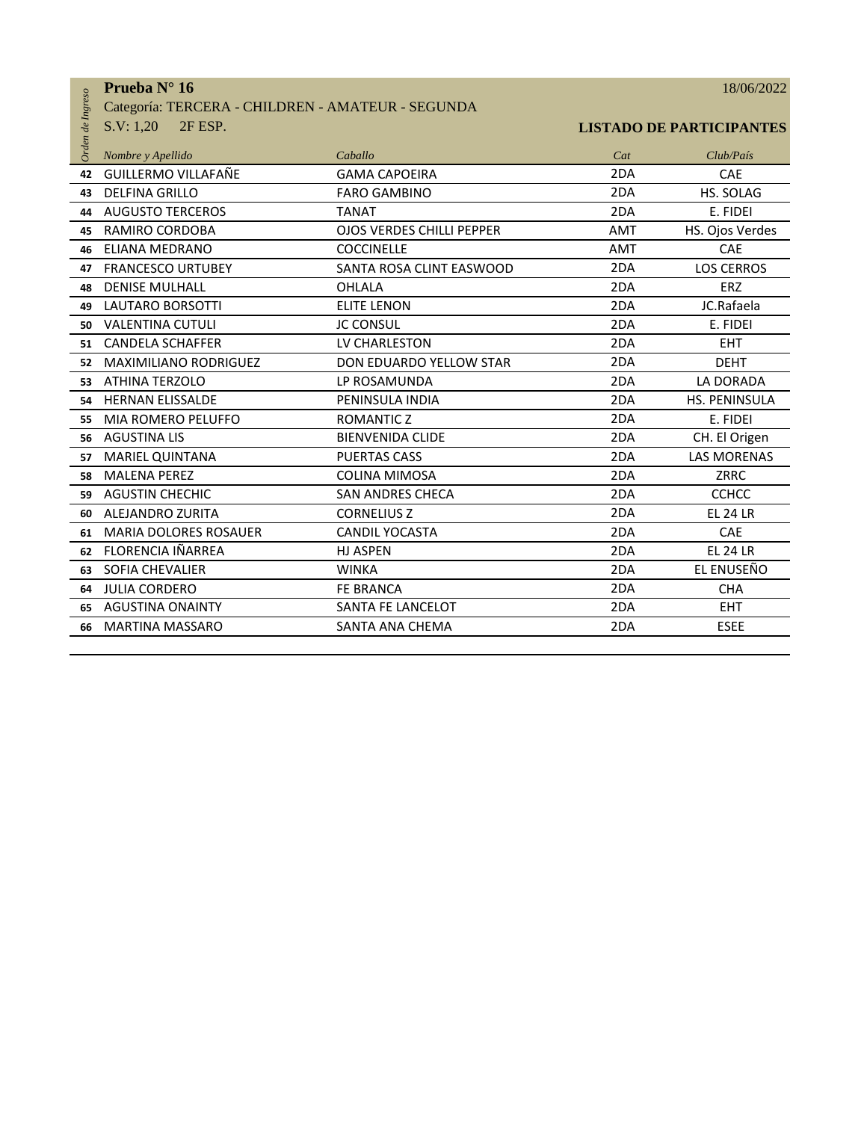| <b>Prueba N° 16</b> | 18/06/2022 |
|---------------------|------------|
|                     |            |

#### Categoría: TERCERA - CHILDREN - AMATEUR - SEGUNDA

#### S.V: 1,20 2F ESP. **LISTADO DE PARTICIPANTES**

|                  | TIULDAIN TO<br>10/00/2022<br>Categoría: TERCERA - CHILDREN - AMATEUR - SEGUNDA |                                  |     |                                 |
|------------------|--------------------------------------------------------------------------------|----------------------------------|-----|---------------------------------|
|                  |                                                                                |                                  |     |                                 |
| Orden de Ingreso | 2F ESP.<br>S.V: 1,20                                                           |                                  |     | <b>LISTADO DE PARTICIPANTES</b> |
|                  | Nombre y Apellido                                                              | Caballo                          | Cat | Club/País                       |
|                  | 42 GUILLERMO VILLAFAÑE                                                         | <b>GAMA CAPOEIRA</b>             | 2DA | CAE                             |
| 43               | <b>DELFINA GRILLO</b>                                                          | <b>FARO GAMBINO</b>              | 2DA | HS. SOLAG                       |
| 44               | <b>AUGUSTO TERCEROS</b>                                                        | <b>TANAT</b>                     | 2DA | E. FIDEI                        |
| 45               | RAMIRO CORDOBA                                                                 | <b>OJOS VERDES CHILLI PEPPER</b> | AMT | HS. Ojos Verdes                 |
| 46               | <b>ELIANA MEDRANO</b>                                                          | <b>COCCINELLE</b>                | AMT | CAE                             |
| 47               | <b>FRANCESCO URTUBEY</b>                                                       | SANTA ROSA CLINT EASWOOD         | 2DA | <b>LOS CERROS</b>               |
| 48               | <b>DENISE MULHALL</b>                                                          | <b>OHLALA</b>                    | 2DA | <b>ERZ</b>                      |
| 49               | <b>LAUTARO BORSOTTI</b>                                                        | <b>ELITE LENON</b>               | 2DA | JC.Rafaela                      |
| 50               | <b>VALENTINA CUTULI</b>                                                        | <b>JC CONSUL</b>                 | 2DA | E. FIDEI                        |
|                  | 51 CANDELA SCHAFFER                                                            | LV CHARLESTON                    | 2DA | <b>EHT</b>                      |
| 52               | <b>MAXIMILIANO RODRIGUEZ</b>                                                   | DON EDUARDO YELLOW STAR          | 2DA | <b>DEHT</b>                     |
|                  | 53 ATHINA TERZOLO                                                              | LP ROSAMUNDA                     | 2DA | LA DORADA                       |
| 54               | <b>HERNAN ELISSALDE</b>                                                        | PENINSULA INDIA                  | 2DA | <b>HS. PENINSULA</b>            |
| 55 -             | <b>MIA ROMERO PELUFFO</b>                                                      | <b>ROMANTIC Z</b>                | 2DA | E. FIDEI                        |
|                  | 56 AGUSTINA LIS                                                                | <b>BIENVENIDA CLIDE</b>          | 2DA | CH. El Origen                   |
| 57               | <b>MARIEL QUINTANA</b>                                                         | <b>PUERTAS CASS</b>              | 2DA | <b>LAS MORENAS</b>              |
| 58               | <b>MALENA PEREZ</b>                                                            | <b>COLINA MIMOSA</b>             | 2DA | <b>ZRRC</b>                     |
| 59               | <b>AGUSTIN CHECHIC</b>                                                         | <b>SAN ANDRES CHECA</b>          | 2DA | <b>CCHCC</b>                    |
|                  | 60 ALEJANDRO ZURITA                                                            | <b>CORNELIUS Z</b>               | 2DA | <b>EL 24 LR</b>                 |
| 61               | <b>MARIA DOLORES ROSAUER</b>                                                   | <b>CANDIL YOCASTA</b>            | 2DA | <b>CAE</b>                      |
|                  | 62 FLORENCIA IÑARREA                                                           | <b>HJ ASPEN</b>                  | 2DA | <b>EL 24 LR</b>                 |
| 63               | <b>SOFIA CHEVALIER</b>                                                         | <b>WINKA</b>                     | 2DA | EL ENUSEÑO                      |
| 64               | <b>JULIA CORDERO</b>                                                           | <b>FE BRANCA</b>                 | 2DA | <b>CHA</b>                      |
|                  | 65 AGUSTINA ONAINTY                                                            | SANTA FE LANCELOT                | 2DA | <b>EHT</b>                      |
| 66               | <b>MARTINA MASSARO</b>                                                         | SANTA ANA CHEMA                  | 2DA | <b>ESEE</b>                     |